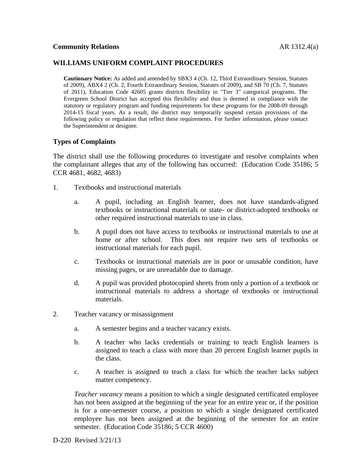# **WILLIAMS UNIFORM COMPLAINT PROCEDURES**

**Cautionary Notice:** As added and amended by SBX3 4 (Ch. 12, Third Extraordinary Session, Statutes of 2009), ABX4 2 (Ch. 2, Fourth Extraordinary Session, Statutes of 2009), and SB 70 (Ch. 7, Statutes of 2011), Education Code 42605 grants districts flexibility in "Tier 3" categorical programs. The Evergreen School District has accepted this flexibility and thus is deemed in compliance with the statutory or regulatory program and funding requirements for these programs for the 2008-09 through 2014-15 fiscal years. As a result, the district may temporarily suspend certain provisions of the following policy or regulation that reflect these requirements. For further information, please contact the Superintendent or designee.

## **Types of Complaints**

The district shall use the following procedures to investigate and resolve complaints when the complainant alleges that any of the following has occurred: (Education Code 35186; 5 CCR 4681, 4682, 4683)

- 1. Textbooks and instructional materials
	- a. A pupil, including an English learner, does not have standards-aligned textbooks or instructional materials or state- or district-adopted textbooks or other required instructional materials to use in class.
	- b. A pupil does not have access to textbooks or instructional materials to use at home or after school. This does not require two sets of textbooks or instructional materials for each pupil.
	- c. Textbooks or instructional materials are in poor or unusable condition, have missing pages, or are unreadable due to damage.
	- d. A pupil was provided photocopied sheets from only a portion of a textbook or instructional materials to address a shortage of textbooks or instructional materials.
- 2. Teacher vacancy or misassignment
	- a. A semester begins and a teacher vacancy exists.
	- b. A teacher who lacks credentials or training to teach English learners is assigned to teach a class with more than 20 percent English learner pupils in the class.
	- c. A teacher is assigned to teach a class for which the teacher lacks subject matter competency.

*Teacher vacancy* means a position to which a single designated certificated employee has not been assigned at the beginning of the year for an entire year or, if the position is for a one-semester course, a position to which a single designated certificated employee has not been assigned at the beginning of the semester for an entire semester. (Education Code 35186; 5 CCR 4600)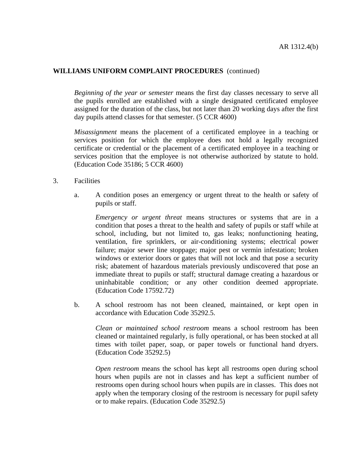# **WILLIAMS UNIFORM COMPLAINT PROCEDURES** (continued)

*Beginning of the year or semester* means the first day classes necessary to serve all the pupils enrolled are established with a single designated certificated employee assigned for the duration of the class, but not later than 20 working days after the first day pupils attend classes for that semester. (5 CCR 4600)

*Misassignment* means the placement of a certificated employee in a teaching or services position for which the employee does not hold a legally recognized certificate or credential or the placement of a certificated employee in a teaching or services position that the employee is not otherwise authorized by statute to hold. (Education Code 35186; 5 CCR 4600)

- 3. Facilities
	- a. A condition poses an emergency or urgent threat to the health or safety of pupils or staff.

*Emergency or urgent threat* means structures or systems that are in a condition that poses a threat to the health and safety of pupils or staff while at school, including, but not limited to, gas leaks; nonfunctioning heating, ventilation, fire sprinklers, or air-conditioning systems; electrical power failure; major sewer line stoppage; major pest or vermin infestation; broken windows or exterior doors or gates that will not lock and that pose a security risk; abatement of hazardous materials previously undiscovered that pose an immediate threat to pupils or staff; structural damage creating a hazardous or uninhabitable condition; or any other condition deemed appropriate. (Education Code 17592.72)

 b. A school restroom has not been cleaned, maintained, or kept open in accordance with Education Code 35292.5.

 *Clean or maintained school restroom* means a school restroom has been cleaned or maintained regularly, is fully operational, or has been stocked at all times with toilet paper, soap, or paper towels or functional hand dryers. (Education Code 35292.5)

*Open restroom* means the school has kept all restrooms open during school hours when pupils are not in classes and has kept a sufficient number of restrooms open during school hours when pupils are in classes. This does not apply when the temporary closing of the restroom is necessary for pupil safety or to make repairs. (Education Code 35292.5)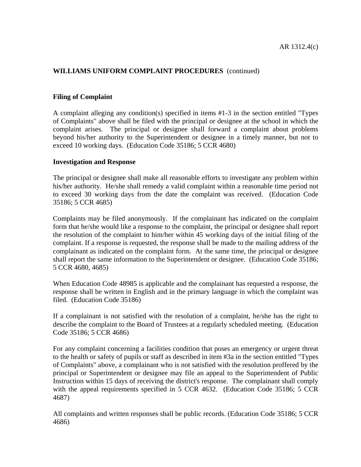# **WILLIAMS UNIFORM COMPLAINT PROCEDURES** (continued)

#### **Filing of Complaint**

A complaint alleging any condition(s) specified in items #1-3 in the section entitled "Types of Complaints" above shall be filed with the principal or designee at the school in which the complaint arises. The principal or designee shall forward a complaint about problems beyond his/her authority to the Superintendent or designee in a timely manner, but not to exceed 10 working days. (Education Code 35186; 5 CCR 4680)

#### **Investigation and Response**

The principal or designee shall make all reasonable efforts to investigate any problem within his/her authority. He/she shall remedy a valid complaint within a reasonable time period not to exceed 30 working days from the date the complaint was received. (Education Code 35186; 5 CCR 4685)

Complaints may be filed anonymously. If the complainant has indicated on the complaint form that he/she would like a response to the complaint, the principal or designee shall report the resolution of the complaint to him/her within 45 working days of the initial filing of the complaint. If a response is requested, the response shall be made to the mailing address of the complainant as indicated on the complaint form. At the same time, the principal or designee shall report the same information to the Superintendent or designee. (Education Code 35186; 5 CCR 4680, 4685)

When Education Code 48985 is applicable and the complainant has requested a response, the response shall be written in English and in the primary language in which the complaint was filed. (Education Code 35186)

If a complainant is not satisfied with the resolution of a complaint, he/she has the right to describe the complaint to the Board of Trustees at a regularly scheduled meeting. (Education Code 35186; 5 CCR 4686)

For any complaint concerning a facilities condition that poses an emergency or urgent threat to the health or safety of pupils or staff as described in item #3a in the section entitled "Types of Complaints" above, a complainant who is not satisfied with the resolution proffered by the principal or Superintendent or designee may file an appeal to the Superintendent of Public Instruction within 15 days of receiving the district's response. The complainant shall comply with the appeal requirements specified in 5 CCR 4632. (Education Code 35186; 5 CCR 4687)

All complaints and written responses shall be public records. (Education Code 35186; 5 CCR 4686)